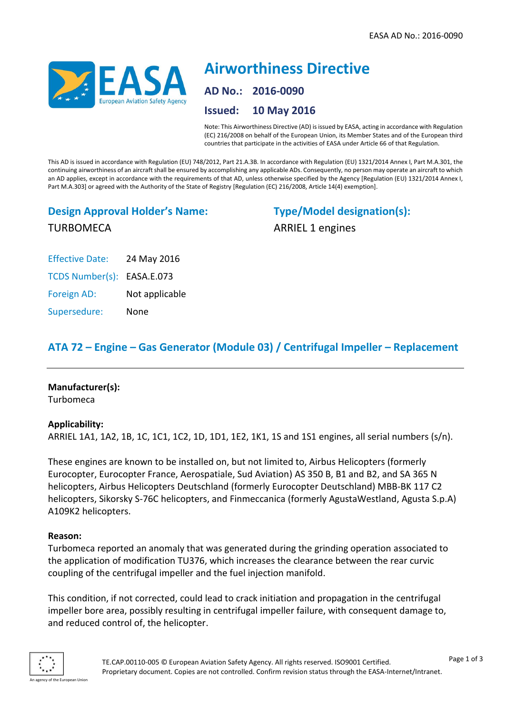

# **Airworthiness Directive AD No.: 2016-0090 Issued: 10 May 2016**

Note: This Airworthiness Directive (AD) is issued by EASA, acting in accordance with Regulation (EC) 216/2008 on behalf of the European Union, its Member States and of the European third countries that participate in the activities of EASA under Article 66 of that Regulation.

This AD is issued in accordance with Regulation (EU) 748/2012, Part 21.A.3B. In accordance with Regulation (EU) 1321/2014 Annex I, Part M.A.301, the continuing airworthiness of an aircraft shall be ensured by accomplishing any applicable ADs. Consequently, no person may operate an aircraft to which an AD applies, except in accordance with the requirements of that AD, unless otherwise specified by the Agency [Regulation (EU) 1321/2014 Annex I, Part M.A.303] or agreed with the Authority of the State of Registry [Regulation (EC) 216/2008, Article 14(4) exemption].

# **Design Approval Holder's Name:** TURBOMECA

**Type/Model designation(s):** ARRIEL 1 engines

| <b>Effective Date:</b>     | 24 May 2016    |
|----------------------------|----------------|
| TCDS Number(s): EASA.E.073 |                |
| Foreign AD:                | Not applicable |
| Supersedure:               | None           |

# **ATA 72 – Engine – Gas Generator (Module 03) / Centrifugal Impeller – Replacement**

#### **Manufacturer(s):**

Turbomeca

#### **Applicability:**

ARRIEL 1A1, 1A2, 1B, 1C, 1C1, 1C2, 1D, 1D1, 1E2, 1K1, 1S and 1S1 engines, all serial numbers (s/n).

These engines are known to be installed on, but not limited to, Airbus Helicopters (formerly Eurocopter, Eurocopter France, Aerospatiale, Sud Aviation) AS 350 B, B1 and B2, and SA 365 N helicopters, Airbus Helicopters Deutschland (formerly Eurocopter Deutschland) MBB-BK 117 C2 helicopters, Sikorsky S-76C helicopters, and Finmeccanica (formerly AgustaWestland, Agusta S.p.A) A109K2 helicopters.

#### **Reason:**

Turbomeca reported an anomaly that was generated during the grinding operation associated to the application of modification TU376, which increases the clearance between the rear curvic coupling of the centrifugal impeller and the fuel injection manifold.

This condition, if not corrected, could lead to crack initiation and propagation in the centrifugal impeller bore area, possibly resulting in centrifugal impeller failure, with consequent damage to, and reduced control of, the helicopter.

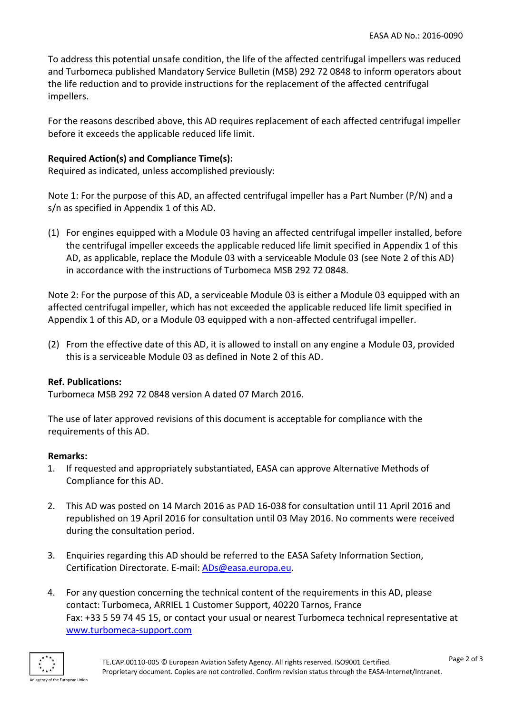To address this potential unsafe condition, the life of the affected centrifugal impellers was reduced and Turbomeca published Mandatory Service Bulletin (MSB) 292 72 0848 to inform operators about the life reduction and to provide instructions for the replacement of the affected centrifugal impellers.

For the reasons described above, this AD requires replacement of each affected centrifugal impeller before it exceeds the applicable reduced life limit.

## **Required Action(s) and Compliance Time(s):**

Required as indicated, unless accomplished previously:

Note 1: For the purpose of this AD, an affected centrifugal impeller has a Part Number (P/N) and a s/n as specified in Appendix 1 of this AD.

(1) For engines equipped with a Module 03 having an affected centrifugal impeller installed, before the centrifugal impeller exceeds the applicable reduced life limit specified in Appendix 1 of this AD, as applicable, replace the Module 03 with a serviceable Module 03 (see Note 2 of this AD) in accordance with the instructions of Turbomeca MSB 292 72 0848.

Note 2: For the purpose of this AD, a serviceable Module 03 is either a Module 03 equipped with an affected centrifugal impeller, which has not exceeded the applicable reduced life limit specified in Appendix 1 of this AD, or a Module 03 equipped with a non-affected centrifugal impeller.

(2) From the effective date of this AD, it is allowed to install on any engine a Module 03, provided this is a serviceable Module 03 as defined in Note 2 of this AD.

## **Ref. Publications:**

Turbomeca MSB 292 72 0848 version A dated 07 March 2016.

The use of later approved revisions of this document is acceptable for compliance with the requirements of this AD.

## **Remarks:**

- 1. If requested and appropriately substantiated, EASA can approve Alternative Methods of Compliance for this AD.
- 2. This AD was posted on 14 March 2016 as PAD 16-038 for consultation until 11 April 2016 and republished on 19 April 2016 for consultation until 03 May 2016. No comments were received during the consultation period.
- 3. Enquiries regarding this AD should be referred to the EASA Safety Information Section, Certification Directorate. E-mail: [ADs@easa.europa.eu.](mailto:ADs@easa.europa.eu)
- 4. For any question concerning the technical content of the requirements in this AD, please contact: Turbomeca, ARRIEL 1 Customer Support, 40220 Tarnos, France Fax: +33 5 59 74 45 15, or contact your usual or nearest Turbomeca technical representative at [www.turbomeca-support.com](http://www.turbomeca-support.com/)